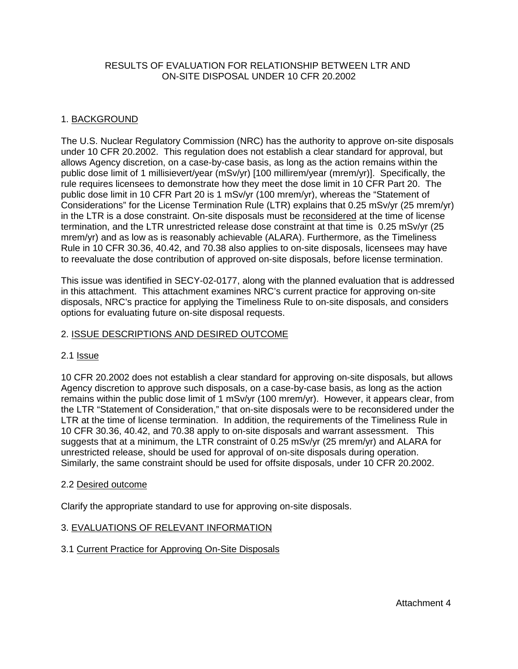## RESULTS OF EVALUATION FOR RELATIONSHIP BETWEEN LTR AND ON-SITE DISPOSAL UNDER 10 CFR 20.2002

# 1. BACKGROUND

The U.S. Nuclear Regulatory Commission (NRC) has the authority to approve on-site disposals under 10 CFR 20.2002. This regulation does not establish a clear standard for approval, but allows Agency discretion, on a case-by-case basis, as long as the action remains within the public dose limit of 1 millisievert/year (mSv/yr) [100 millirem/year (mrem/yr)]. Specifically, the rule requires licensees to demonstrate how they meet the dose limit in 10 CFR Part 20. The public dose limit in 10 CFR Part 20 is 1 mSv/yr (100 mrem/yr), whereas the "Statement of Considerations" for the License Termination Rule (LTR) explains that 0.25 mSv/yr (25 mrem/yr) in the LTR is a dose constraint. On-site disposals must be reconsidered at the time of license termination, and the LTR unrestricted release dose constraint at that time is 0.25 mSv/yr (25 mrem/yr) and as low as is reasonably achievable (ALARA). Furthermore, as the Timeliness Rule in 10 CFR 30.36, 40.42, and 70.38 also applies to on-site disposals, licensees may have to reevaluate the dose contribution of approved on-site disposals, before license termination.

This issue was identified in SECY-02-0177, along with the planned evaluation that is addressed in this attachment. This attachment examines NRC's current practice for approving on-site disposals, NRC's practice for applying the Timeliness Rule to on-site disposals, and considers options for evaluating future on-site disposal requests.

# 2. ISSUE DESCRIPTIONS AND DESIRED OUTCOME

## 2.1 Issue

10 CFR 20.2002 does not establish a clear standard for approving on-site disposals, but allows Agency discretion to approve such disposals, on a case-by-case basis, as long as the action remains within the public dose limit of 1 mSv/yr (100 mrem/yr). However, it appears clear, from the LTR "Statement of Consideration," that on-site disposals were to be reconsidered under the LTR at the time of license termination. In addition, the requirements of the Timeliness Rule in 10 CFR 30.36, 40.42, and 70.38 apply to on-site disposals and warrant assessment. This suggests that at a minimum, the LTR constraint of 0.25 mSv/yr (25 mrem/yr) and ALARA for unrestricted release, should be used for approval of on-site disposals during operation. Similarly, the same constraint should be used for offsite disposals, under 10 CFR 20.2002.

## 2.2 Desired outcome

Clarify the appropriate standard to use for approving on-site disposals.

## 3. EVALUATIONS OF RELEVANT INFORMATION

## 3.1 Current Practice for Approving On-Site Disposals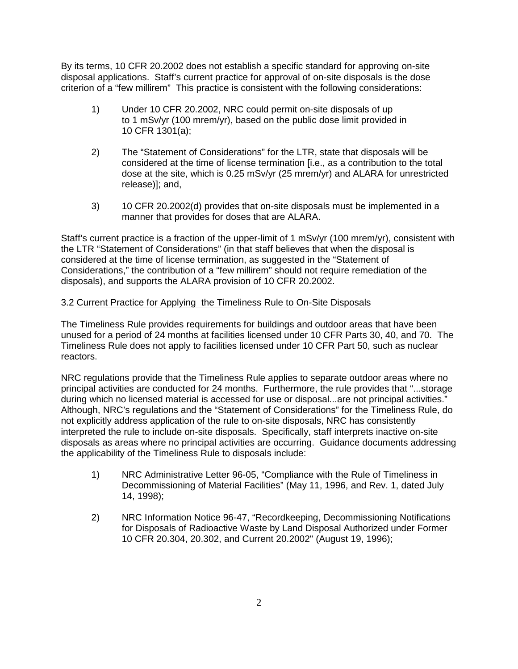By its terms, 10 CFR 20.2002 does not establish a specific standard for approving on-site disposal applications. Staff's current practice for approval of on-site disposals is the dose criterion of a "few millirem" This practice is consistent with the following considerations:

- 1) Under 10 CFR 20.2002, NRC could permit on-site disposals of up to 1 mSv/yr (100 mrem/yr), based on the public dose limit provided in 10 CFR 1301(a);
- 2) The "Statement of Considerations" for the LTR, state that disposals will be considered at the time of license termination [i.e., as a contribution to the total dose at the site, which is 0.25 mSv/yr (25 mrem/yr) and ALARA for unrestricted release)]; and,
- 3) 10 CFR 20.2002(d) provides that on-site disposals must be implemented in a manner that provides for doses that are ALARA.

Staff's current practice is a fraction of the upper-limit of 1 mSv/yr (100 mrem/yr), consistent with the LTR "Statement of Considerations" (in that staff believes that when the disposal is considered at the time of license termination, as suggested in the "Statement of Considerations," the contribution of a "few millirem" should not require remediation of the disposals), and supports the ALARA provision of 10 CFR 20.2002.

# 3.2 Current Practice for Applying the Timeliness Rule to On-Site Disposals

The Timeliness Rule provides requirements for buildings and outdoor areas that have been unused for a period of 24 months at facilities licensed under 10 CFR Parts 30, 40, and 70. The Timeliness Rule does not apply to facilities licensed under 10 CFR Part 50, such as nuclear reactors.

NRC regulations provide that the Timeliness Rule applies to separate outdoor areas where no principal activities are conducted for 24 months. Furthermore, the rule provides that "...storage during which no licensed material is accessed for use or disposal...are not principal activities." Although, NRC's regulations and the "Statement of Considerations" for the Timeliness Rule, do not explicitly address application of the rule to on-site disposals, NRC has consistently interpreted the rule to include on-site disposals. Specifically, staff interprets inactive on-site disposals as areas where no principal activities are occurring. Guidance documents addressing the applicability of the Timeliness Rule to disposals include:

- 1) NRC Administrative Letter 96-05, "Compliance with the Rule of Timeliness in Decommissioning of Material Facilities" (May 11, 1996, and Rev. 1, dated July 14, 1998);
- 2) NRC Information Notice 96-47, "Recordkeeping, Decommissioning Notifications for Disposals of Radioactive Waste by Land Disposal Authorized under Former 10 CFR 20.304, 20.302, and Current 20.2002" (August 19, 1996);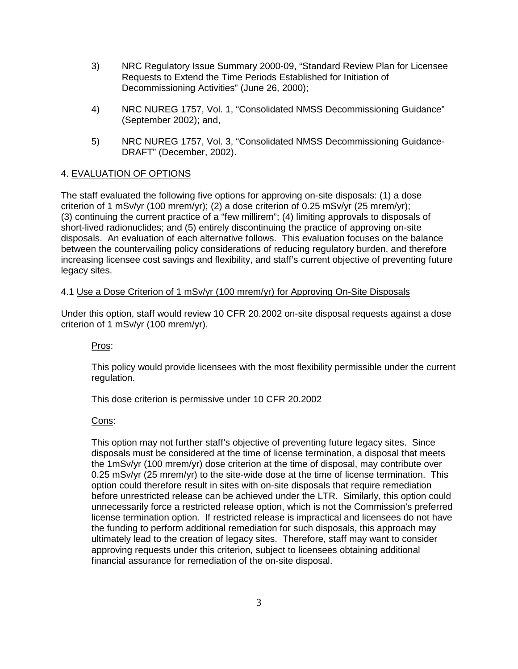- 3) NRC Regulatory Issue Summary 2000-09, "Standard Review Plan for Licensee Requests to Extend the Time Periods Established for Initiation of Decommissioning Activities" (June 26, 2000);
- 4) NRC NUREG 1757, Vol. 1, "Consolidated NMSS Decommissioning Guidance" (September 2002); and,
- 5) NRC NUREG 1757, Vol. 3, "Consolidated NMSS Decommissioning Guidance-DRAFT" (December, 2002).

# 4. EVALUATION OF OPTIONS

The staff evaluated the following five options for approving on-site disposals: (1) a dose criterion of 1 mSv/yr (100 mrem/yr); (2) a dose criterion of 0.25 mSv/yr (25 mrem/yr); (3) continuing the current practice of a "few millirem"; (4) limiting approvals to disposals of short-lived radionuclides; and (5) entirely discontinuing the practice of approving on-site disposals. An evaluation of each alternative follows. This evaluation focuses on the balance between the countervailing policy considerations of reducing regulatory burden, and therefore increasing licensee cost savings and flexibility, and staff's current objective of preventing future legacy sites.

## 4.1 Use a Dose Criterion of 1 mSv/yr (100 mrem/yr) for Approving On-Site Disposals

Under this option, staff would review 10 CFR 20.2002 on-site disposal requests against a dose criterion of 1 mSv/yr (100 mrem/yr).

## Pros:

This policy would provide licensees with the most flexibility permissible under the current regulation.

This dose criterion is permissive under 10 CFR 20.2002

# Cons:

This option may not further staff's objective of preventing future legacy sites. Since disposals must be considered at the time of license termination, a disposal that meets the 1mSv/yr (100 mrem/yr) dose criterion at the time of disposal, may contribute over 0.25 mSv/yr (25 mrem/yr) to the site-wide dose at the time of license termination. This option could therefore result in sites with on-site disposals that require remediation before unrestricted release can be achieved under the LTR. Similarly, this option could unnecessarily force a restricted release option, which is not the Commission's preferred license termination option. If restricted release is impractical and licensees do not have the funding to perform additional remediation for such disposals, this approach may ultimately lead to the creation of legacy sites. Therefore, staff may want to consider approving requests under this criterion, subject to licensees obtaining additional financial assurance for remediation of the on-site disposal.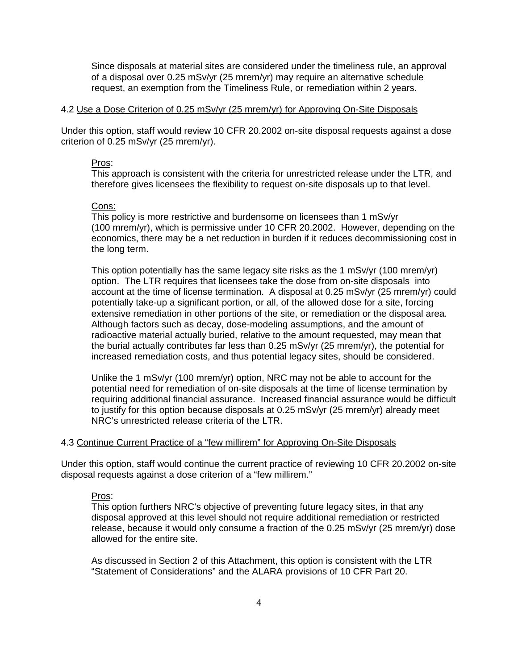Since disposals at material sites are considered under the timeliness rule, an approval of a disposal over 0.25 mSv/yr (25 mrem/yr) may require an alternative schedule request, an exemption from the Timeliness Rule, or remediation within 2 years.

#### 4.2 Use a Dose Criterion of 0.25 mSv/yr (25 mrem/yr) for Approving On-Site Disposals

Under this option, staff would review 10 CFR 20.2002 on-site disposal requests against a dose criterion of 0.25 mSv/yr (25 mrem/yr).

#### Pros:

This approach is consistent with the criteria for unrestricted release under the LTR, and therefore gives licensees the flexibility to request on-site disposals up to that level.

### Cons:

This policy is more restrictive and burdensome on licensees than 1 mSv/yr (100 mrem/yr), which is permissive under 10 CFR 20.2002. However, depending on the economics, there may be a net reduction in burden if it reduces decommissioning cost in the long term.

This option potentially has the same legacy site risks as the 1 mSv/yr (100 mrem/yr) option. The LTR requires that licensees take the dose from on-site disposals into account at the time of license termination. A disposal at 0.25 mSv/yr (25 mrem/yr) could potentially take-up a significant portion, or all, of the allowed dose for a site, forcing extensive remediation in other portions of the site, or remediation or the disposal area. Although factors such as decay, dose-modeling assumptions, and the amount of radioactive material actually buried, relative to the amount requested, may mean that the burial actually contributes far less than 0.25 mSv/yr (25 mrem/yr), the potential for increased remediation costs, and thus potential legacy sites, should be considered.

Unlike the 1 mSv/yr (100 mrem/yr) option, NRC may not be able to account for the potential need for remediation of on-site disposals at the time of license termination by requiring additional financial assurance. Increased financial assurance would be difficult to justify for this option because disposals at 0.25 mSv/yr (25 mrem/yr) already meet NRC's unrestricted release criteria of the LTR.

## 4.3 Continue Current Practice of a "few millirem" for Approving On-Site Disposals

Under this option, staff would continue the current practice of reviewing 10 CFR 20.2002 on-site disposal requests against a dose criterion of a "few millirem."

### Pros:

This option furthers NRC's objective of preventing future legacy sites, in that any disposal approved at this level should not require additional remediation or restricted release, because it would only consume a fraction of the 0.25 mSv/yr (25 mrem/yr) dose allowed for the entire site.

As discussed in Section 2 of this Attachment, this option is consistent with the LTR "Statement of Considerations" and the ALARA provisions of 10 CFR Part 20.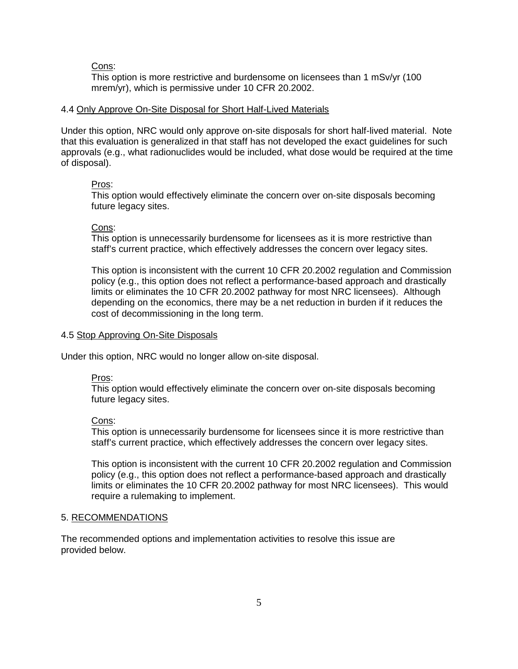#### Cons:

This option is more restrictive and burdensome on licensees than 1 mSv/yr (100 mrem/yr), which is permissive under 10 CFR 20.2002.

#### 4.4 Only Approve On-Site Disposal for Short Half-Lived Materials

Under this option, NRC would only approve on-site disposals for short half-lived material. Note that this evaluation is generalized in that staff has not developed the exact guidelines for such approvals (e.g., what radionuclides would be included, what dose would be required at the time of disposal).

#### Pros:

This option would effectively eliminate the concern over on-site disposals becoming future legacy sites.

#### Cons:

This option is unnecessarily burdensome for licensees as it is more restrictive than staff's current practice, which effectively addresses the concern over legacy sites.

This option is inconsistent with the current 10 CFR 20.2002 regulation and Commission policy (e.g., this option does not reflect a performance-based approach and drastically limits or eliminates the 10 CFR 20.2002 pathway for most NRC licensees). Although depending on the economics, there may be a net reduction in burden if it reduces the cost of decommissioning in the long term.

### 4.5 Stop Approving On-Site Disposals

Under this option, NRC would no longer allow on-site disposal.

#### Pros:

This option would effectively eliminate the concern over on-site disposals becoming future legacy sites.

#### Cons:

This option is unnecessarily burdensome for licensees since it is more restrictive than staff's current practice, which effectively addresses the concern over legacy sites.

This option is inconsistent with the current 10 CFR 20.2002 regulation and Commission policy (e.g., this option does not reflect a performance-based approach and drastically limits or eliminates the 10 CFR 20.2002 pathway for most NRC licensees). This would require a rulemaking to implement.

#### 5. RECOMMENDATIONS

The recommended options and implementation activities to resolve this issue are provided below.